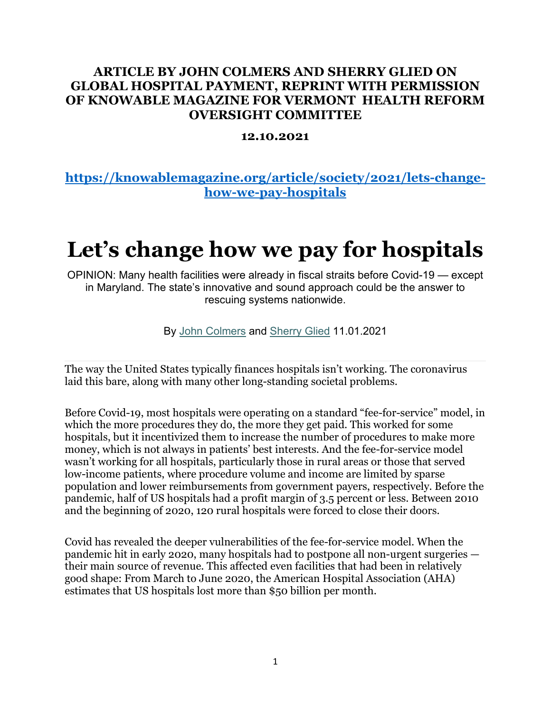## **ARTICLE BY JOHN COLMERS AND SHERRY GLIED ON GLOBAL HOSPITAL PAYMENT, REPRINT WITH PERMISSION OF KNOWABLE MAGAZINE FOR VERMONT HEALTH REFORM OVERSIGHT COMMITTEE**

## **12.10.2021**

## **[https://knowablemagazine.org/article/society/2021/lets-change](https://knowablemagazine.org/article/society/2021/lets-change-how-we-pay-hospitals)[how-we-pay-hospitals](https://knowablemagazine.org/article/society/2021/lets-change-how-we-pay-hospitals)**

## **Let's change how we pay for hospitals**

OPINION: Many health facilities were already in fiscal straits before Covid-19 — except in Maryland. The state's innovative and sound approach could be the answer to rescuing systems nationwide.

By [John Colmers](https://knowablemagazine.org/action/doSearch?DOResourceTypeId=knowable&sortBy=earliest&startPage=&text1=John%20Colmers) and [Sherry Glied](https://knowablemagazine.org/action/doSearch?DOResourceTypeId=knowable&sortBy=earliest&startPage=&text1=Sherry%20Glied) 11.01.2021

The way the United States typically finances hospitals isn't working. The coronavirus laid this bare, along with many other long-standing societal problems.

Before Covid-19, most hospitals were operating on a standard "fee-for-service" model, in which the more procedures they do, the more they get paid. This worked for some hospitals, but it incentivized them to increase the number of procedures to make more money, which is not always in patients' best interests. And the fee-for-service model wasn't working for all hospitals, particularly those in rural areas or those that served low-income patients, where procedure volume and income are limited by sparse population and lower reimbursements from government payers, respectively. Before the pandemic, half of US hospitals had a profit margin of 3.5 percent or less. Between 2010 and the beginning of 2020, 120 rural hospitals were forced to close their doors.

Covid has revealed the deeper vulnerabilities of the fee-for-service model. When the pandemic hit in early 2020, many hospitals had to postpone all non-urgent surgeries their main source of revenue. This affected even facilities that had been in relatively good shape: From March to June 2020, the American Hospital Association (AHA) estimates that US hospitals lost more than \$50 billion per month.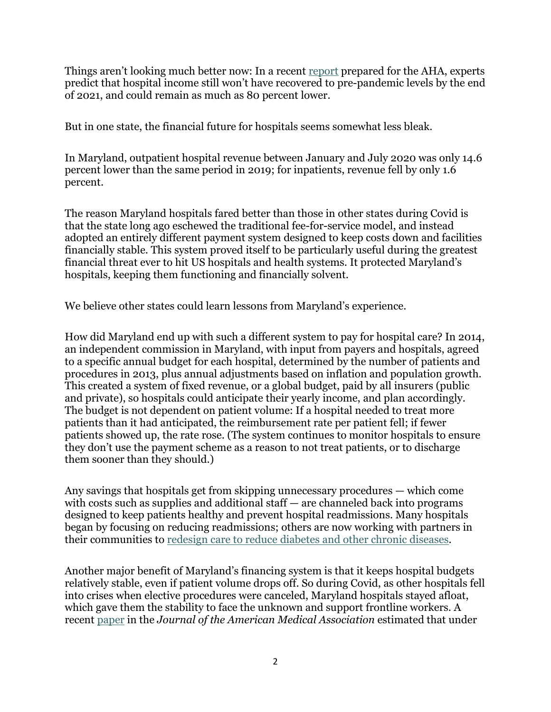Things aren't looking much better now: In a recent [report](https://www.aha.org/guidesreports/2021-09-21-financial-effects-covid-19-hospital-outlook-remainder-2021) prepared for the AHA, experts predict that hospital income still won't have recovered to pre-pandemic levels by the end of 2021, and could remain as much as 80 percent lower.

But in one state, the financial future for hospitals seems somewhat less bleak.

In Maryland, outpatient hospital revenue between January and July 2020 was only 14.6 percent lower than the same period in 2019; for inpatients, revenue fell by only 1.6 percent.

The reason Maryland hospitals fared better than those in other states during Covid is that the state long ago eschewed the traditional fee-for-service model, and instead adopted an entirely different payment system designed to keep costs down and facilities financially stable. This system proved itself to be particularly useful during the greatest financial threat ever to hit US hospitals and health systems. It protected Maryland's hospitals, keeping them functioning and financially solvent.

We believe other states could learn lessons from Maryland's experience.

How did Maryland end up with such a different system to pay for hospital care? In 2014, an independent commission in Maryland, with input from payers and hospitals, agreed to a specific annual budget for each hospital, determined by the number of patients and procedures in 2013, plus annual adjustments based on inflation and population growth. This created a system of fixed revenue, or a global budget, paid by all insurers (public and private), so hospitals could anticipate their yearly income, and plan accordingly. The budget is not dependent on patient volume: If a hospital needed to treat more patients than it had anticipated, the reimbursement rate per patient fell; if fewer patients showed up, the rate rose. (The system continues to monitor hospitals to ensure they don't use the payment scheme as a reason to not treat patients, or to discharge them sooner than they should.)

Any savings that hospitals get from skipping unnecessary procedures — which come with costs such as supplies and additional staff — are channeled back into programs designed to keep patients healthy and prevent hospital readmissions. Many hospitals began by focusing on reducing readmissions; others are now working with partners in their communities to [redesign care to reduce diabetes and other chronic diseases.](https://www.umms.org/ummc/news/2020/ummc-hopkins-team-up-tackle-diabetes-baltimore)

Another major benefit of Maryland's financing system is that it keeps hospital budgets relatively stable, even if patient volume drops off. So during Covid, as other hospitals fell into crises when elective procedures were canceled, Maryland hospitals stayed afloat, which gave them the stability to face the unknown and support frontline workers. A recent [paper](https://jamanetwork.com/journals/jama/fullarticle/2775434) in the *Journal of the American Medical Association* estimated that under